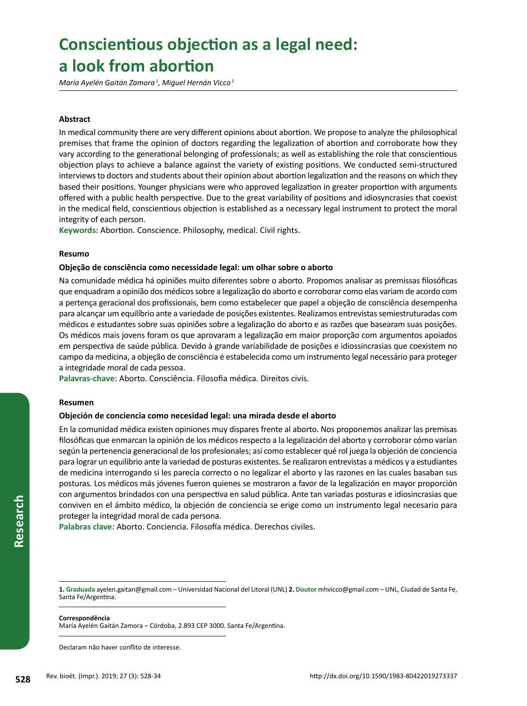# <sup>528</sup> **Conscientious objection as a legal need: a look from abortion**

*María Ayelén Gaitán Zamora* <sup>1</sup> *, Miguel Hernán Vicco* <sup>2</sup>

## **Abstract**

In medical community there are very different opinions about abortion. We propose to analyze the philosophical premises that frame the opinion of doctors regarding the legalization of abortion and corroborate how they vary according to the generational belonging of professionals; as well as establishing the role that conscientious objection plays to achieve a balance against the variety of existing positions. We conducted semi-structured interviews to doctors and students about their opinion about abortion legalization and the reasons on which they based their positions. Younger physicians were who approved legalization in greater proportion with arguments offered with a public health perspective. Due to the great variability of positions and idiosyncrasies that coexist in the medical field, conscientious objection is established as a necessary legal instrument to protect the moral integrity of each person.

**Keywords:** Abortion. Conscience. Philosophy, medical. Civil rights.

#### **Resumo**

#### **Objeção de consciência como necessidade legal: um olhar sobre o aborto**

Na comunidade médica há opiniões muito diferentes sobre o aborto. Propomos analisar as premissas filosóficas que enquadram a opinião dos médicos sobre a legalização do aborto e corroborar como elas variam de acordo com a pertença geracional dos profissionais, bem como estabelecer que papel a objeção de consciência desempenha para alcançar um equilíbrio ante a variedade de posições existentes. Realizamos entrevistas semiestruturadas com médicos e estudantes sobre suas opiniões sobre a legalização do aborto e as razões que basearam suas posições. Os médicos mais jovens foram os que aprovaram a legalização em maior proporção com argumentos apoiados em perspectiva de saúde pública. Devido à grande variabilidade de posições e idiossincrasias que coexistem no campo da medicina, a objeção de consciência é estabelecida como um instrumento legal necessário para proteger a integridade moral de cada pessoa.

**Palavras-chave:** Aborto. Consciência. Filosofia médica. Direitos civis.

#### **Resumen**

## **Objeción de conciencia como necesidad legal: una mirada desde el aborto**

**528** Rev. bioét. (Impr.). 2019; 27 (3): 528-34<br>
Rev. bioét. (Impr.). 2019; 27 (3): 528-34<br>
Rev. bioét. (Impr.). 2019; 27 (3): 528-34<br>
Rev. bioét. (Impr.). 2019; 27 (3): 528-34 En la comunidad médica existen opiniones muy dispares frente al aborto. Nos proponemos analizar las premisas filosóficas que enmarcan la opinión de los médicos respecto a la legalización del aborto y corroborar cómo varían según la pertenencia generacional de los profesionales; así como establecer qué rol juega la objeción de conciencia para lograr un equilibrio ante la variedad de posturas existentes. Se realizaron entrevistas a médicos y a estudiantes de medicina interrogando si les parecía correcto o no legalizar el aborto y las razones en las cuales basaban sus posturas*.* Los médicos más jóvenes fueron quienes se mostraron a favor de la legalización en mayor proporción con argumentos brindados con una perspectiva en salud pública. Ante tan variadas posturas e idiosincrasias que conviven en el ámbito médico, la objeción de conciencia se erige como un instrumento legal necesario para proteger la integridad moral de cada persona.

**Palabras clave:** Aborto. Conciencia. Filosofía médica. Derechos civiles.

#### **Correspondência**

María Ayelén Gaitán Zamora – Córdoba, 2.893 CEP 3000. Santa Fe/Argentina.

Declaram não haver conflito de interesse.

**<sup>1.</sup> Graduada** [ayelen.gaitan@gmail.com](mailto:ayelen.gaitan@gmail.com) – Universidad Nacional del Litoral (UNL) **2. Doutor** [mhvicco@gmail.com](mailto:mhvicco@gmail.com) – UNL, Ciudad de Santa Fe, Santa Fe/Argentina.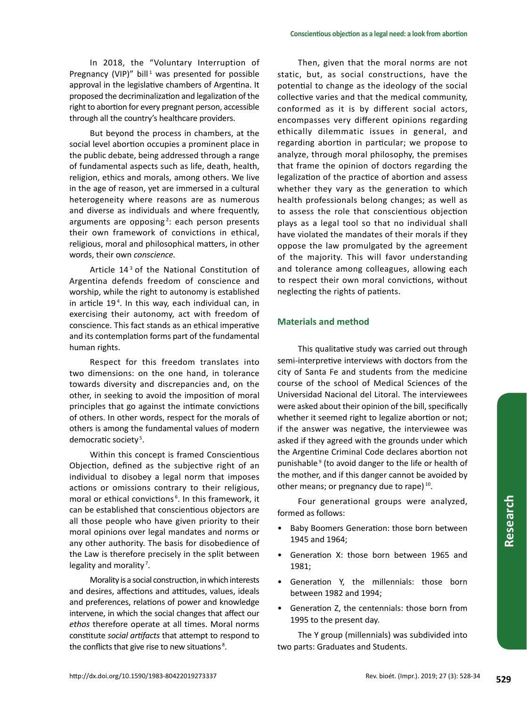In 2018, the "Voluntary Interruption of Pregnancy (VIP)" bill<sup>1</sup> was presented for possible approval in the legislative chambers of Argentina. It proposed the decriminalization and legalization of the right to abortion for every pregnant person, accessible through all the country's healthcare providers.

But beyond the process in chambers, at the social level abortion occupies a prominent place in the public debate, being addressed through a range of fundamental aspects such as life, death, health, religion, ethics and morals, among others. We live in the age of reason, yet are immersed in a cultural heterogeneity where reasons are as numerous and diverse as individuals and where frequently, arguments are opposing<sup>2</sup>: each person presents their own framework of convictions in ethical, religious, moral and philosophical matters, in other words, their own *conscience.*

Article 14<sup>3</sup> of the National Constitution of Argentina defends freedom of conscience and worship, while the right to autonomy is established in article 19 <sup>4</sup> . In this way, each individual can, in exercising their autonomy, act with freedom of conscience. This fact stands as an ethical imperative and its contemplation forms part of the fundamental human rights.

Respect for this freedom translates into two dimensions: on the one hand, in tolerance towards diversity and discrepancies and, on the other, in seeking to avoid the imposition of moral principles that go against the intimate convictions of others. In other words, respect for the morals of others is among the fundamental values of modern democratic society<sup>5</sup>.

Within this concept is framed Conscientious Objection, defined as the subjective right of an individual to disobey a legal norm that imposes actions or omissions contrary to their religious, moral or ethical convictions<sup>6</sup>. In this framework, it can be established that conscientious objectors are all those people who have given priority to their moral opinions over legal mandates and norms or any other authority. The basis for disobedience of the Law is therefore precisely in the split between legality and morality<sup>7</sup>.

Morality is a social construction, in which interests and desires, affections and attitudes, values, ideals and preferences, relations of power and knowledge intervene, in which the social changes that affect our *ethos* therefore operate at all times. Moral norms constitute *social artifacts* that attempt to respond to the conflicts that give rise to new situations<sup>8</sup>.

Then, given that the moral norms are not static, but, as social constructions, have the potential to change as the ideology of the social collective varies and that the medical community, conformed as it is by different social actors, encompasses very different opinions regarding ethically dilemmatic issues in general, and regarding abortion in particular; we propose to analyze, through moral philosophy, the premises that frame the opinion of doctors regarding the legalization of the practice of abortion and assess whether they vary as the generation to which health professionals belong changes; as well as to assess the role that conscientious objection plays as a legal tool so that no individual shall have violated the mandates of their morals if they oppose the law promulgated by the agreement of the majority. This will favor understanding and tolerance among colleagues, allowing each to respect their own moral convictions, without neglecting the rights of patients.

# **Materials and method**

This qualitative study was carried out through semi-interpretive interviews with doctors from the city of Santa Fe and students from the medicine course of the school of Medical Sciences of the Universidad Nacional del Litoral. The interviewees were asked about their opinion of the bill, specifically whether it seemed right to legalize abortion or not; if the answer was negative, the interviewee was asked if they agreed with the grounds under which the Argentine Criminal Code declares abortion not punishable<sup>9</sup> (to avoid danger to the life or health of the mother, and if this danger cannot be avoided by other means; or pregnancy due to rape) 10.

Four generational groups were analyzed, formed as follows:

- Baby Boomers Generation: those born between 1945 and 1964;
- Generation X: those born between 1965 and 1981;
- Generation Y, the millennials: those born between 1982 and 1994;
- Generation Z, the centennials: those born from 1995 to the present day.

The Y group (millennials) was subdivided into two parts: Graduates and Students.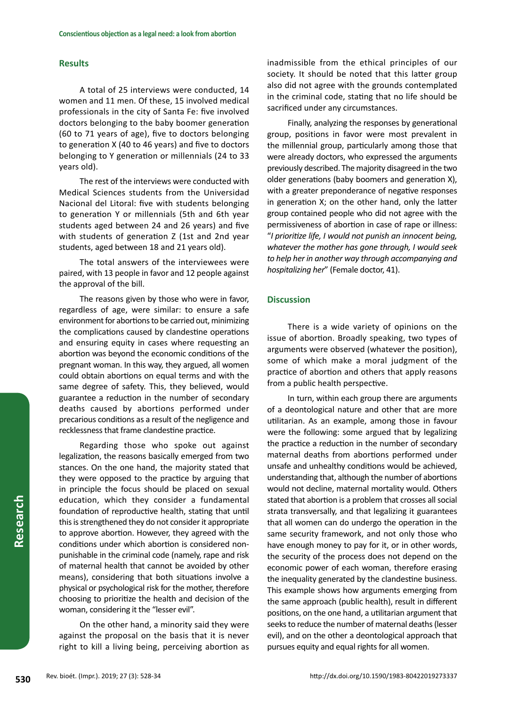## **Results**

A total of 25 interviews were conducted, 14 women and 11 men. Of these, 15 involved medical professionals in the city of Santa Fe: five involved doctors belonging to the baby boomer generation (60 to 71 years of age), five to doctors belonging to generation X (40 to 46 years) and five to doctors belonging to Y generation or millennials (24 to 33 years old).

The rest of the interviews were conducted with Medical Sciences students from the Universidad Nacional del Litoral: five with students belonging to generation Y or millennials (5th and 6th year students aged between 24 and 26 years) and five with students of generation Z (1st and 2nd year students, aged between 18 and 21 years old).

The total answers of the interviewees were paired, with 13 people in favor and 12 people against the approval of the bill.

The reasons given by those who were in favor, regardless of age, were similar: to ensure a safe environment for abortions to be carried out, minimizing the complications caused by clandestine operations and ensuring equity in cases where requesting an abortion was beyond the economic conditions of the pregnant woman. In this way, they argued, all women could obtain abortions on equal terms and with the same degree of safety. This, they believed, would guarantee a reduction in the number of secondary deaths caused by abortions performed under precarious conditions as a result of the negligence and recklessness that frame clandestine practice.

Regarding those who spoke out against legalization, the reasons basically emerged from two stances. On the one hand, the majority stated that they were opposed to the practice by arguing that in principle the focus should be placed on sexual education, which they consider a fundamental foundation of reproductive health, stating that until this is strengthened they do not consider it appropriate to approve abortion. However, they agreed with the conditions under which abortion is considered nonpunishable in the criminal code (namely, rape and risk of maternal health that cannot be avoided by other means), considering that both situations involve a physical or psychological risk for the mother, therefore choosing to prioritize the health and decision of the woman, considering it the "lesser evil".

On the other hand, a minority said they were against the proposal on the basis that it is never right to kill a living being, perceiving abortion as inadmissible from the ethical principles of our society. It should be noted that this latter group also did not agree with the grounds contemplated in the criminal code, stating that no life should be sacrificed under any circumstances.

Finally, analyzing the responses by generational group, positions in favor were most prevalent in the millennial group, particularly among those that were already doctors, who expressed the arguments previously described. The majority disagreed in the two older generations (baby boomers and generation X), with a greater preponderance of negative responses in generation X; on the other hand, only the latter group contained people who did not agree with the permissiveness of abortion in case of rape or illness: "*I prioritize life, I would not punish an innocent being, whatever the mother has gone through, I would seek to help her in another way through accompanying and hospitalizing her*" (Female doctor, 41).

# **Discussion**

There is a wide variety of opinions on the issue of abortion. Broadly speaking, two types of arguments were observed (whatever the position), some of which make a moral judgment of the practice of abortion and others that apply reasons from a public health perspective.

In turn, within each group there are arguments of a deontological nature and other that are more utilitarian. As an example, among those in favour were the following: some argued that by legalizing the practice a reduction in the number of secondary maternal deaths from abortions performed under unsafe and unhealthy conditions would be achieved, understanding that, although the number of abortions would not decline, maternal mortality would. Others stated that abortion is a problem that crosses all social strata transversally, and that legalizing it guarantees that all women can do undergo the operation in the same security framework, and not only those who have enough money to pay for it, or in other words, the security of the process does not depend on the economic power of each woman, therefore erasing the inequality generated by the clandestine business. This example shows how arguments emerging from the same approach (public health), result in different positions, on the one hand, a utilitarian argument that seeks to reduce the number of maternal deaths (lesser evil), and on the other a deontological approach that pursues equity and equal rights for all women.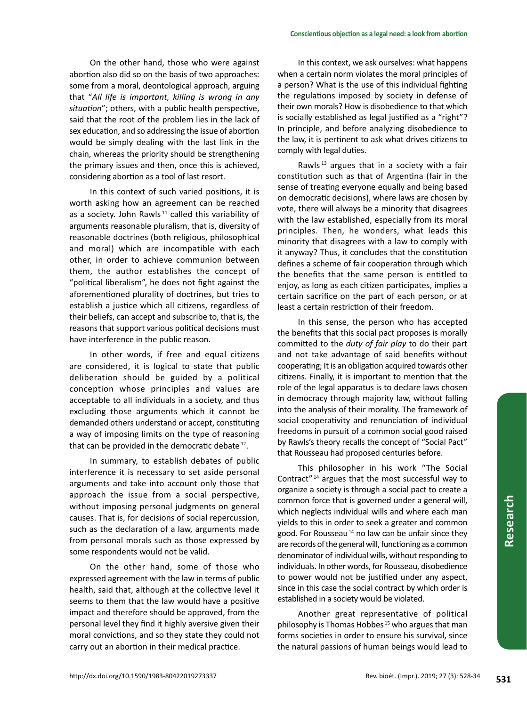On the other hand, those who were against abortion also did so on the basis of two approaches: some from a moral, deontological approach, arguing that "*All life is important, killing is wrong in any situation*"; others, with a public health perspective, said that the root of the problem lies in the lack of sex education, and so addressing the issue of abortion would be simply dealing with the last link in the chain, whereas the priority should be strengthening the primary issues and then, once this is achieved, considering abortion as a tool of last resort.

In this context of such varied positions, it is worth asking how an agreement can be reached as a society. John Rawls<sup>11</sup> called this variability of arguments reasonable pluralism, that is, diversity of reasonable doctrines (both religious, philosophical and moral) which are incompatible with each other, in order to achieve communion between them, the author establishes the concept of "political liberalism", he does not fight against the aforementioned plurality of doctrines, but tries to establish a justice which all citizens, regardless of their beliefs, can accept and subscribe to, that is, the reasons that support various political decisions must have interference in the public reason*.*

In other words, if free and equal citizens are considered, it is logical to state that public deliberation should be guided by a political conception whose principles and values are acceptable to all individuals in a society, and thus excluding those arguments which it cannot be demanded others understand or accept, constituting a way of imposing limits on the type of reasoning that can be provided in the democratic debate<sup>12</sup>.

In summary, to establish debates of public interference it is necessary to set aside personal arguments and take into account only those that approach the issue from a social perspective, without imposing personal judgments on general causes. That is, for decisions of social repercussion, such as the declaration of a law, arguments made from personal morals such as those expressed by some respondents would not be valid.

On the other hand, some of those who expressed agreement with the law in terms of public health, said that, although at the collective level it seems to them that the law would have a positive impact and therefore should be approved, from the personal level they find it highly aversive given their moral convictions, and so they state they could not carry out an abortion in their medical practice.

In this context, we ask ourselves: what happens when a certain norm violates the moral principles of a person? What is the use of this individual fighting the regulations imposed by society in defense of their own morals? How is disobedience to that which is socially established as legal justified as a "right"? In principle, and before analyzing disobedience to the law, it is pertinent to ask what drives citizens to comply with legal duties.

Rawls<sup>13</sup> argues that in a society with a fair constitution such as that of Argentina (fair in the sense of treating everyone equally and being based on democratic decisions), where laws are chosen by vote, there will always be a minority that disagrees with the law established, especially from its moral principles. Then, he wonders, what leads this minority that disagrees with a law to comply with it anyway? Thus, it concludes that the constitution defines a scheme of fair cooperation through which the benefits that the same person is entitled to enjoy, as long as each citizen participates, implies a certain sacrifice on the part of each person, or at least a certain restriction of their freedom.

In this sense, the person who has accepted the benefits that this social pact proposes is morally committed to the *duty of fair play* to do their part and not take advantage of said benefits without cooperating; It is an obligation acquired towards other citizens. Finally, it is important to mention that the role of the legal apparatus is to declare laws chosen in democracy through majority law, without falling into the analysis of their morality. The framework of social cooperativity and renunciation of individual freedoms in pursuit of a common social good raised by Rawls's theory recalls the concept of "Social Pact" that Rousseau had proposed centuries before.

This philosopher in his work "The Social Contract" <sup>14</sup> argues that the most successful way to organize a society is through a social pact to create a common force that is governed under a general will, which neglects individual wills and where each man yields to this in order to seek a greater and common good. For Rousseau<sup>14</sup> no law can be unfair since they are records of the general will, functioning as a common denominator of individual wills, without responding to individuals. In other words, for Rousseau, disobedience to power would not be justified under any aspect, since in this case the social contract by which order is established in a society would be violated.

Another great representative of political philosophy is Thomas Hobbes<sup>15</sup> who argues that man forms societies in order to ensure his survival, since the natural passions of human beings would lead to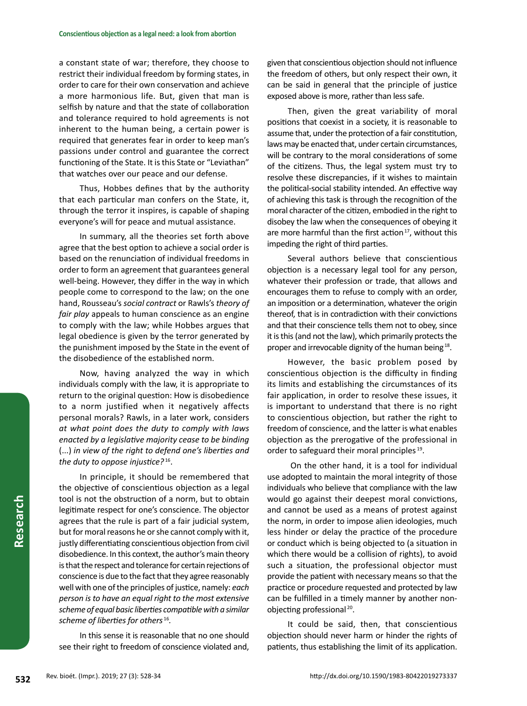a constant state of war; therefore, they choose to restrict their individual freedom by forming states, in order to care for their own conservation and achieve a more harmonious life. But, given that man is selfish by nature and that the state of collaboration and tolerance required to hold agreements is not inherent to the human being, a certain power is required that generates fear in order to keep man's passions under control and guarantee the correct functioning of the State. It is this State or "Leviathan" that watches over our peace and our defense.

Thus, Hobbes defines that by the authority that each particular man confers on the State, it, through the terror it inspires, is capable of shaping everyone's will for peace and mutual assistance.

In summary, all the theories set forth above agree that the best option to achieve a social order is based on the renunciation of individual freedoms in order to form an agreement that guarantees general well-being. However, they differ in the way in which people come to correspond to the law; on the one hand, Rousseau's *social contract* or Rawls's *theory of fair play* appeals to human conscience as an engine to comply with the law; while Hobbes argues that legal obedience is given by the terror generated by the punishment imposed by the State in the event of the disobedience of the established norm.

Now, having analyzed the way in which individuals comply with the law, it is appropriate to return to the original question: How is disobedience to a norm justified when it negatively affects personal morals? Rawls, in a later work, considers *at what point does the duty to comply with laws enacted by a legislative majority cease to be binding*  (...) *in view of the right to defend one's liberties and the duty to oppose injustice?* 16.

In principle, it should be remembered that the objective of conscientious objection as a legal tool is not the obstruction of a norm, but to obtain legitimate respect for one's conscience. The objector agrees that the rule is part of a fair judicial system, but for moral reasons he or she cannot comply with it, justly differentiating conscientious objection from civil disobedience. In this context, the author's main theory is that the respect and tolerance for certain rejections of conscience is due to the fact that they agree reasonably well with one of the principles of justice, namely: *each person is to have an equal right to the most extensive scheme of equal basic liberties compatible with a similar scheme of liberties for others* <sup>16</sup>*.* 

In this sense it is reasonable that no one should see their right to freedom of conscience violated and,

given that conscientious objection should not influence the freedom of others, but only respect their own, it can be said in general that the principle of justice exposed above is more, rather than less safe.

Then, given the great variability of moral positions that coexist in a society, it is reasonable to assume that, under the protection of a fair constitution, laws may be enacted that, under certain circumstances, will be contrary to the moral considerations of some of the citizens. Thus, the legal system must try to resolve these discrepancies, if it wishes to maintain the political-social stability intended. An effective way of achieving this task is through the recognition of the moral character of the citizen, embodied in the right to disobey the law when the consequences of obeying it are more harmful than the first action<sup>17</sup>, without this impeding the right of third parties.

Several authors believe that conscientious objection is a necessary legal tool for any person, whatever their profession or trade, that allows and encourages them to refuse to comply with an order, an imposition or a determination, whatever the origin thereof, that is in contradiction with their convictions and that their conscience tells them not to obey, since it is this (and not the law), which primarily protects the proper and irrevocable dignity of the human being<sup>18</sup>.

However, the basic problem posed by conscientious objection is the difficulty in finding its limits and establishing the circumstances of its fair application, in order to resolve these issues, it is important to understand that there is no right to conscientious objection, but rather the right to freedom of conscience, and the latter is what enables objection as the prerogative of the professional in order to safeguard their moral principles<sup>19</sup>.

 On the other hand, it is a tool for individual use adopted to maintain the moral integrity of those individuals who believe that compliance with the law would go against their deepest moral convictions, and cannot be used as a means of protest against the norm, in order to impose alien ideologies, much less hinder or delay the practice of the procedure or conduct which is being objected to (a situation in which there would be a collision of rights), to avoid such a situation, the professional objector must provide the patient with necessary means so that the practice or procedure requested and protected by law can be fulfilled in a timely manner by another nonobjecting professional 20.

It could be said, then, that conscientious objection should never harm or hinder the rights of patients, thus establishing the limit of its application.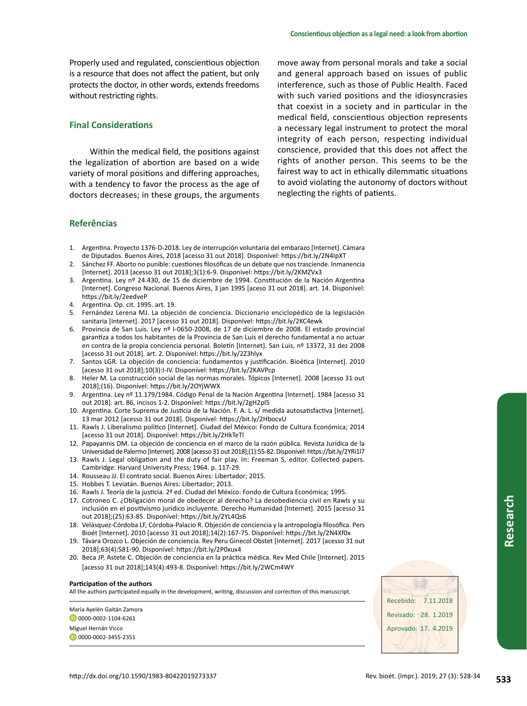Properly used and regulated, conscientious objection is a resource that does not affect the patient, but only protects the doctor, in other words, extends freedoms without restricting rights.

# **Final Considerations**

Within the medical field, the positions against the legalization of abortion are based on a wide variety of moral positions and differing approaches, with a tendency to favor the process as the age of doctors decreases; in these groups, the arguments

## **Referências**

- 1. Argentina. Proyecto 1376-D-2018. Ley de interrupción voluntaria del embarazo [Internet]. Cámara
- de Diputados. Buenos Aires, 2018 [acesso 31 out 2018]. Disponível: https://bit.ly/2N4IpXT 2. Sánchez FF. Aborto no punible: cuestiones filosóficas de un debate que nos trasciende. Inmanencia [Internet]. 2013 [acesso 31 out 2018];3(1):6-9. Disponível: https://bit.ly/2KMZVx3
- 3. Argentina. Ley nº 24.430, de 15 de diciembre de 1994. Constitución de la Nación Argentina [Internet]. Congreso Nacional. Buenos Aires, 3 jan 1995 [aceso 31 out 2018]. art. 14. Disponível: https://bit.ly/2eedveP
- 4. Argentina. Op. cit. 1995. art. 19.
- 5. Fernández Lerena MJ. La objeción de conciencia. Diccionario enciclopédico de la legislación sanitaria [Internet]. 2017 [acesso 31 out 2018]. Disponível: https://bit.ly/2KC4ewk
- 6. Provincia de San Luis. Ley nº I-0650-2008, de 17 de diciembre de 2008. El estado provincial garantiza a todos los habitantes de la Provincia de San Luis el derecho fundamental a no actuar en contra de la propia conciencia personal. Boletín [Internet]. San Luis, nº 13372, 31 dez 2008 [acesso 31 out 2018]. art. 2. Disponível: https://bit.ly/2Z3hlyx
- 7. Santos LGR. La objeción de conciencia: fundamentos y justificación. Bioética [Internet]. 2010 [acesso 31 out 2018];10(3):I-IV. Disponível: https://bit.ly/2KAVPcp
- 8. Heler M. La construcción social de las normas morales. Tópicos [Internet]. 2008 [acesso 31 out 2018];(16). Disponível: https://bit.ly/2OYjWWX
- 9. Argentina. Ley nº 11.179/1984. Código Penal de la Nación Argentina [Internet]. 1984 [acesso 31 out 2018]. art. 86, incisos 1-2. Disponível: https://bit.ly/2gH2pl5
- 10. Argentina. Corte Suprema de Justicia de la Nación. F. A. L. s/ medida autosatisfactiva [Internet]. 13 mar 2012 [acesso 31 out 2018]. Disponível: https://bit.ly/2HbocvU
- 11. Rawls J. Liberalismo político [Internet]. Ciudad del México: Fondo de Cultura Económica; 2014 [acesso 31 out 2018]. Disponível: https://bit.ly/2HkTeTl
- 12. Papayannis DM. La objeción de conciencia en el marco de la razón pública. Revista Jurídica de la Universidad de Palermo [Internet]. 2008 [acesso 31 out 2018];(1):55-82. Disponível: https://bit.ly/2YRi1I7
- 13. Rawls J. Legal obligation and the duty of fair play. In: Freeman S, editor. Collected papers. Cambridge: Harvard University Press; 1964. p. 117-29.
- 14. Rousseau JJ. El contrato social. Buenos Aires: Libertador; 2015.
- 15. Hobbes T. Leviatán. Buenos Aires: Libertador; 2013.
- 16. Rawls J. Teoría de la justicia. 2ª ed. Ciudad del México: Fondo de Cultura Económica; 1995.
- 17. Cotroneo C. ¿Obligación moral de obedecer al derecho? La desobediencia civil en Rawls y su inclusión en el positivismo jurídico incluyente. Derecho Humanidad [Internet]. 2015 [acesso 31 out 2018];(25):63-85. Disponível: https://bit.ly/2YL4Qs6
- 18. Velásquez-Córdoba LF, Córdoba-Palacio R. Objeción de conciencia y la antropología filosófica. Pers Bioét [Internet]. 2010 [acesso 31 out 2018];14(2):167-75. Disponível: https://bit.ly/2N4Xf0x
- 19. Távara Orozco L. Objeción de conciencia. Rev Peru Ginecol Obstet [Internet]. 2017 [acesso 31 out 2018];63(4):581-90. Disponível: https://bit.ly/2P0xux4
- 20. Beca JP, Astete C. Objeción de conciencia en la práctica médica. Rev Med Chile [Internet]. 2015 [acesso 31 out 2018];143(4):493-8. Disponível: https://bit.ly/2WCm4WY

#### **Participation of the authors**

All the authors participated equally in the development, writing, discussion and correction of this manuscript.

María Ayelén Gaitán Zamora

D0000-0002-1104-6261

Miguel Hernán Vicco **D**0000-0002-3455-2351



move away from personal morals and take a social and general approach based on issues of public interference, such as those of Public Health. Faced with such varied positions and the idiosyncrasies that coexist in a society and in particular in the medical field, conscientious objection represents a necessary legal instrument to protect the moral integrity of each person, respecting individual conscience, provided that this does not affect the rights of another person. This seems to be the fairest way to act in ethically dilemmatic situations to avoid violating the autonomy of doctors without neglecting the rights of patients.